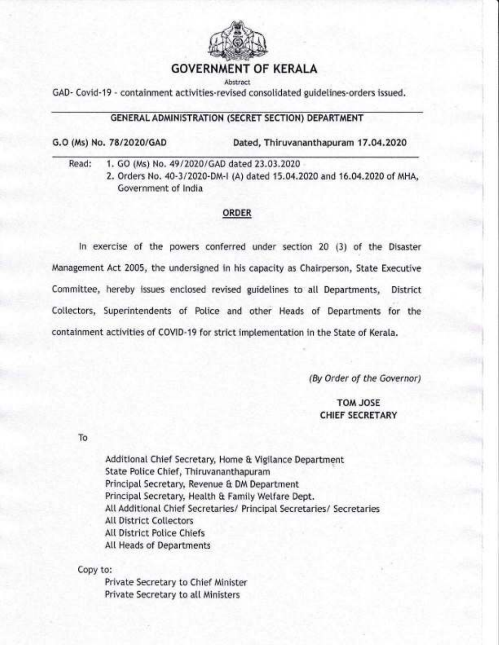

### GOVERNMENT OF KERALA

Abstract

GAD- Covid-19 - containment activities-revised consotidated guidetines-orders issued.

#### GENERAL ADMINISTRATION (SECRET SECTION) DEPARTMENT

G.O (Ms) No. 78/2020/GAD Dated, Thiruvananthapuram 17.04.2020

Read: 1. GO (Ms) No. 49/2020/GAD dated 23.03.2020

2. Orders No. 40-3/2020-DM-I (A) dated 15.04.2020 and 16.04.2020 of MHA, Government of lndia

#### ORDER

ln exercise of the powers conferred under section 20 (3) of the Disaster Management Act 2005, the undersigned in his capacity as Chairperson, State Executive Committee, hereby issues enclosed revised guidelines to all Departments, District Cotlectors, Superintendents of Potice and other Heads of Departments for the containment activities of COVID-19 for strict imptementation in the State of Kerala.

(By Order of the Governor)

TOM JOSE CHIEF SECRETARY

To

Additional Chief Secretary, Home & Vigilance Department State Potice Chief, Thiruvananthapuram Principal Secretary, Revenue & DM Department Principal Secretary, Health & Family Welfare Dept. All Additional Chief Secretaries/ Principal Secretaries/ Secretaries All District Collectors Att District Potice Chiefs AtI Heads of Departments

Copy to:

Private Secretary to Chief Minister Private Secretary to att Ministers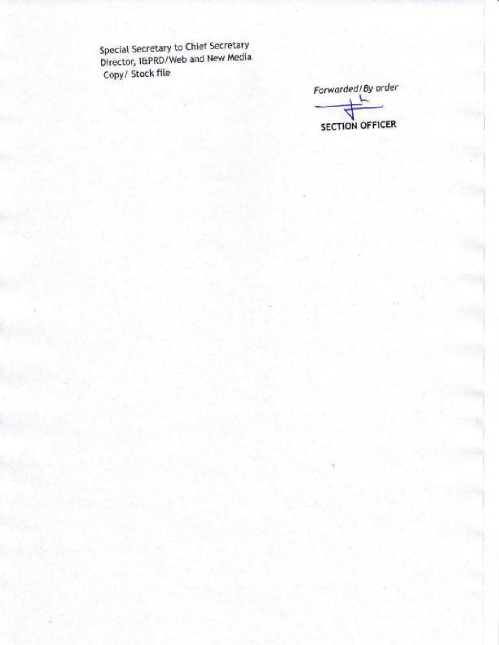Special Secretary to Chief Secretary<br>Director, I&PRD/Web and New Media Copy/ Stock file

Forwarded/By order **SECTION OFFICER**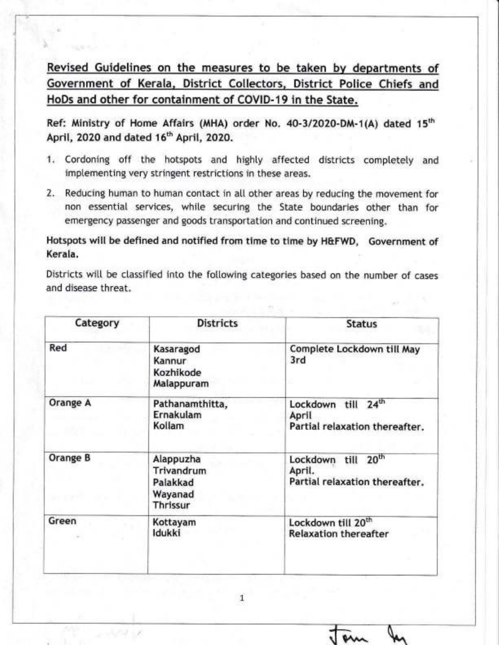Revised Guidelines on the measures to be taken by departments of Government of Kerala, District Collectors, District Police Chiefs and HoDs and other for containment of COVID-19 in the State.

a\

Ref: Ministry of Home Affairs (MHA) order No. 40-3/2020-DM-1(A) dated 15<sup>th</sup> April, 2020 and dated 16<sup>th</sup> April, 2020.

- 1. Cordoning off the hotspots and highty affected districts completely and implementing very stringent restrictions in these areas.
- 2. Reducing human to human contact in all other areas by reducing the movement for non essential services, white securing the State boundaries other than for emergency passenger and goods transportation and continued screening.

Hotspots witt be defined and notified from time to time by H&FWD, Government of Kerala.

Districts will be classified into the following categories based on the number of cases and disease threat.

| <b>Districts</b>                                           | <b>Status</b>                                                                   |
|------------------------------------------------------------|---------------------------------------------------------------------------------|
| Kasaragod<br>Kannur<br>Kozhikode<br>Malappuram             | Complete Lockdown till May<br>3rd                                               |
| Pathanamthitta,<br>Ernakulam<br>Kollam                     | 24 <sup>th</sup><br>Lockdown<br>till<br>April<br>Partial relaxation thereafter. |
| Alappuzha<br>Trivandrum<br>Palakkad<br>Wayanad<br>Thrissur | 20 <sup>th</sup><br>Lockdown till<br>April.<br>Partial relaxation thereafter.   |
| Kottayam<br>ldukki                                         | Lockdown till 20 <sup>th</sup><br><b>Relaxation thereafter</b>                  |
|                                                            |                                                                                 |

1

 $\boldsymbol{\mathsf{m}}$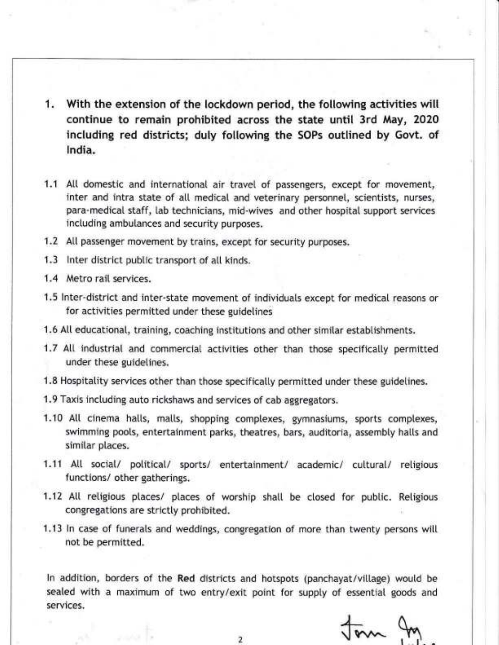- 1. With the extension of the lockdown period, the following activities will continue to remain prohibited across the state until 3rd May, 2O2O including red districts; duly following the SOPs outlined by Govt. of lndia.
- 1.1 All domestic and international air travel of passengers, except for movement, inter and intra state of all medical and veterinary personnel, scientists, nurses, para-medical staff, lab technicians, mid-wives and other hospital support services inctuding ambutances and security purposes.
- 1.2 All passenger movement by trains, except for security purposes.
- 1.3 lnter district pubtic transport of atl kinds.
- 1.4 Metro rail services.
- 1.5 lnter-district and inter-state movement of individuats except for medical reasons or for activities permitted under these guidetines
- 1.6 All educational, training, coaching institutions and other similar establishments.
- 1.7 All industrial and commercial activities other than those specifically permitted under these guidetines.
- 1.8 Hospitality services other than those specifically permitted under these guidelines.
- 1.9 Taxis including auto rickshaws and services of cab aggregators.
- 1.10 All cinema halls, malls, shopping complexes, gymnasiums, sports complexes, swimming poots, entertainment parks, theatres, bars, auditoria, assembty hatls and similar places.
- 1.11 All social/ political/ sports/ entertainment/ academic/ cultural/ religious functions/ other gatherings.
- 1.12 All religious places/ places of worship shall be closed for public. Religious congregations are strictty prohibited
- 1.13 In case of funerals and weddings, congregation of more than twenty persons will not be permitted.

In addition, borders of the Red districts and hotspots (panchayat/village) would be sealed with a maximum of two entry/exit point for suppty of essential goods and services.

 $\overline{A}$  $\sqrt{m}$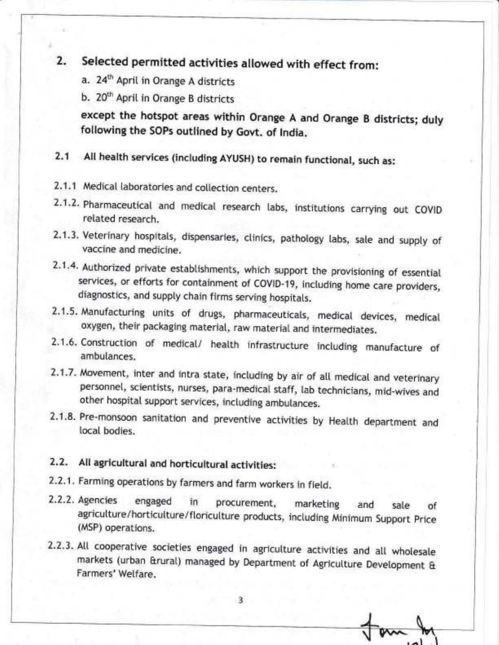# 2. Selected permitted activities allowed with effect from:

- a. 24<sup>th</sup> April in Orange A districts
- b. 20<sup>th</sup> April in Orange B districts

except the hotspot areas within Orange A and Orange B districts; duly following the SOPs outlined by Govt. of lndia.

# 2-1 Alt health services (including AYUSH) to remain functional, such as:

- 2.1.1 Medical laboratories and collection centers.
- 2.1.2. Pharmaceutical and medical research labs, institutions carrying out COVID retated research.
- 2.1.3. Veterinary hospitals, dispensaries, clinics, pathology labs, sale and supply of vaccine and medicine.
- 2.1.4. Authorized private establishments, which support the provisioning of essential services, or efforts for containment of COVID-19, inctuding home care providers, diagnostics, and suppty chain firms serving hospitats.
- 2.1.5. Manufacturing units of drugs, pharmaceuticals, medical devices, medical oxygen, their packaging materiat, raw material and intermediates.
- 2.1.6. Construction of medical/ health infrastructure including manufacture of ambutances.
- 2.1.7. Movement, inter and intra state, including by air of all medical and veterinary personnel, scientists, nurses, para-medical staff, lab technicians, mid-wives and other hospital support services, including ambulances.
- 2.1.8. Pre-monsoon sanitation and preventive activities by Health department and local bodies.

## 2.2. AlI agricultural and horticultural activities:

- 2-2.1. Farming operations by farmers and farm workers in fietd.
- 2.2.2. Agencies engaged in procurement, marketing and sate of agricutture/horticulture/floricutture products, inctuding Minimum Support price (MSP) operations.
- 2.2.3. All cooperative societies engaged in agriculture activities and all wholesale markets (urban &rurat) managed by Department of Agricutture Devetopment & Farmers' Wetfare.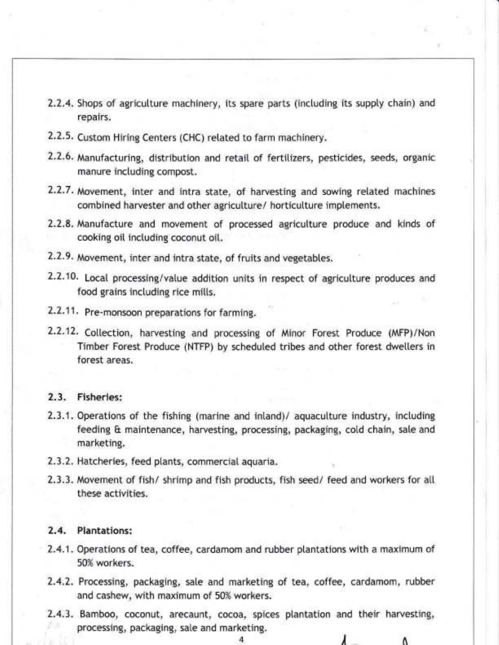- 2.2.4. Shops of agricutture machinery, its spare parts (inctuding its supply chain) and repairs.
- 2.2.5. Custom Hiring Centers (CHC) retated to farm machinery.
- 2.2.6. Manufacturing, distribution and retail of fertilizers, pesticides, seeds, organic manure including compost.
- 2.2.7. Movement, inter and intra state, of harvesting and sowing retated machines combined harvester and other agricutture/ horticulture imptements.
- 2.2.8. Manufacture and movement of processed agriculture produce and kinds of cooking oit inctuding coconut oi[.
- 2.2.9. Movement, inter and intra state, of fruits and vegetabtes.
- 2.2.10 , Local processing/value addition units in respect of agricutture produces and food grains including rice mills.
- 2.2.11. Pre-monsoon preparations for farming.
- 2.2.12. Collection, harvesting and processing of Minor Forest Produce (MFP)/Nor Timber Forest Produce (NTFP) by scheduted tribes and other forest dwetters in forest areas.

#### 2.3. Fisheries:

- 2.3.1. Operations of the fishing (marine and inland)/ aquacutture industry, inctuding feeding & maintenance, harvesting, processing, packaging, cotd chain, sale and marketing.
- 2.3.2. Hatcheries, feed ptants, commercial aquaria.
- 2.3.3. Movement of fish/ shrimp and fish products, fish seed/ feed and workers for atl these activities.

#### 2.4. Plantations:

- 2.4.1. Operations of tea, coffee, cardamom and rubber ptantations with a maximum of 50% workers.
- 2.4.2. Processing, packaging, sate and marketing of tea, coffee, cardamom, rubber and cashew, with maximum of 50% workers.
- 2.4.3. Bamboo, coconut, arecaunt, cocoa, spices ptantation and their harvesting, processing, packaging, sale and marketing.

Λ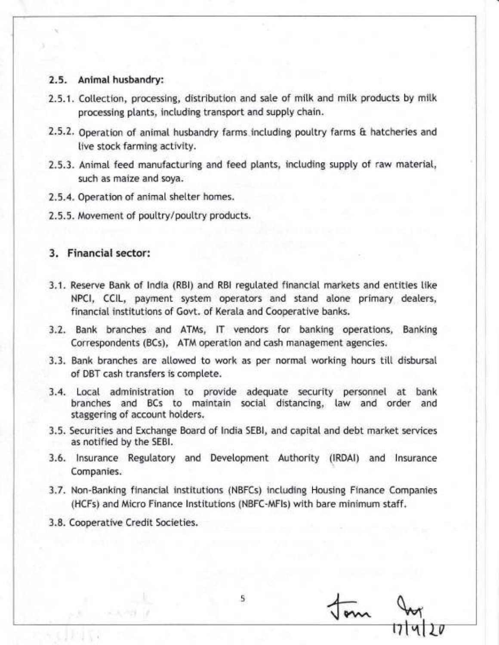#### 2.5. Animal husbandry:

- 2.5.1. Collection, processing, distribution and sale of milk and milk products by milk processing plants, including transport and supply chain.
- 2.5.2. Operation of animal husbandry farms including poultry farms & hatcheries and live stock farming activity.
- 2.5.3. Animal feed manufacturing and feed plants, including supply of raw material, such as maize and soya.
- 2.5.4. Operation of animal shelter homes.
- 2.5.5. Movement of poultry/poultry products.

#### 3. Financial sector:

- 3.1. Reserve Bank of India (RBI) and RBI regulated financial markets and entities like NPCI, CCIL, payment system operators and stand alone primary dealers, financial institutions of Govt. of Kerala and Cooperative banks.
- 3.2. Bank branches and ATMs, IT vendors for banking operations, Banking Correspondents (BCs), ATM operation and cash management agencies.
- 3.3. Bank branches are allowed to work as per normal working hours till disbursal of DBT cash transfers is complete.
- 3.4. Local administration to provide adequate security personnel at bank branches and BCs to maintain social distancing, law and order and staggering of account holders.
- 3.5. Securities and Exchange Board of India SEBI, and capital and debt market services as notified by the SEBI.
- 3.6. Insurance Regulatory and Development Authority (IRDAI) and Insurance Companies.
- 3.7. Non-Banking financial institutions (NBFCs) including Housing Finance Companies (HCFs) and Micro Finance Institutions (NBFC-MFIs) with bare minimum staff.

5

3.8. Cooperative Credit Societies.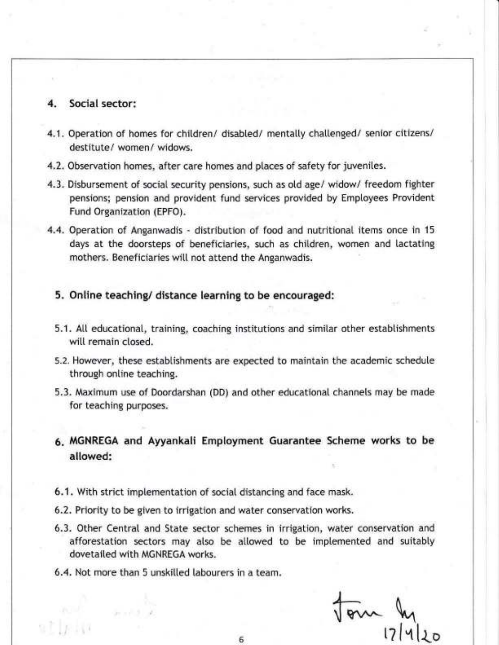#### Social sector:

- 4.1. Operation of homes for children/ disabled/ mentally challenged/ senior citizens/ destitute/ women/ widows.
- 4.2. Observation homes, after care homes and places of safety for juveniles.
- 4.3. Disbursement of social security pensions, such as otd age/ widow/ freedom fighter pensions; pension and provident fund services provided by Emptoyees Provident Fund Organization (EPFO).
- 4.4. Operation of Anganwadis distribution of food and nutritional items once in <sup>15</sup> days at the doorsteps of beneficiaries, such as children, women and lactating mothers. Beneficiaries will not attend the Anganwadis.

#### 5. Online teaching/ distance learning to be encouraged:

- 5.1. Att educational, training, coaching institutions and simitar other estabtishments will remain closed.
- 5.2. However, these estabtishments are expected to maintain the academic schedute through ontine teaching.
- 5.3. Maximum use of Doordarshan (DD) and other educational channels may be made for teaching purposes.
- 6. MGNREGA and Ayyankali Emptoyment Guarantee Scheme works to be allowed:
- 6.1. With strict imptementation of social distancing and face mask.
- 6.2. Priority to be given to irrigation and water conseryation works.
- 6.3. Other Central and State sector schemes in irrigation, water conservation and afforestation sectors may also be allowed to be implemented and suitably dovetaited with MGNREGA works.
- 6.4. Not more than 5 unskilled labourers in a team.

)  $\sqrt{8}m \,$ 01| ا3|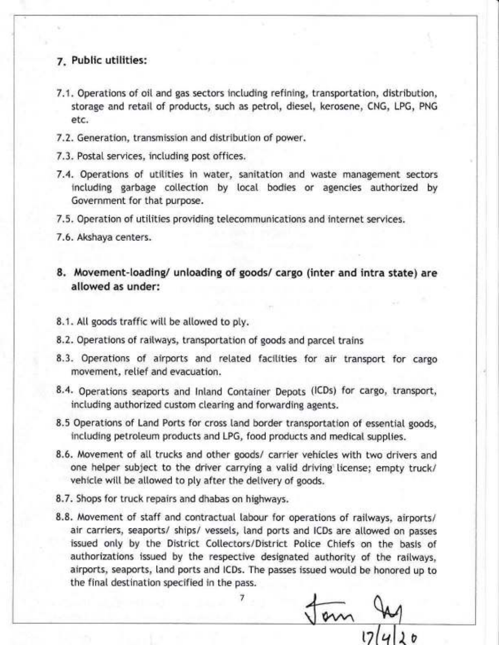#### Z. Public utilities:

- 7.1. Operations of oit and gas sectors inctuding refining, transportation, distribution, storage and retail of products, such as petrot, dieset, kerosene, CNG, LPG, PNG etc.
- 7.2. Generation, transmission and distribution of power.
- 7.3. Postal services, inctuding post offices.
- 7.4. Operations of utitities in water, sanitation and waste management sectors inctuding garbage cottection by locaI bodies or agencies authorized by Government for that purpose.
- 7.5. Operation of utitities providing tetecommunications and internet services.
- 7.6. Akshaya centers.
- 8. Movement-loading/ unloading of goods/ cargo (inter and intra state) are allowed as under:
- 8.1. All goods traffic will be allowed to ply.
- 8.2. Operations of raitways, transportation of goods and parcel trains
- 8.3. Operations of airports and related facilities for air transport for cargo movement, retief and evacuation.
- 8.4. Operations seaports and Inland Container Depots (ICDs) for cargo, transport, inctuding authorized custom clearing and forwarding agents.
- 8.5 Operations of Land Ports for cross land border transportation of essential goods, including petroleum products and LPG, food products and medical supplies.
- 8.6. Movement of all trucks and other goods/ carrier vehicles with two drivers and one helper subject to the driver carrying a valid driving license; empty truck/ vehicle will be allowed to ply after the delivery of goods.
- 8.7. Shops for truck repairs and dhabas on highways.
- 8.8. Movement of staff and contractual labour for operations of railways, airports/ air carriers, seaports/ ships/ vessets, land ports and lCDs are atlowed on passes issued only by the District Collectors/District Police Chiefs on the basis of authorizations issued by the respective designated authority of the railways, airports, seaports, land ports and ICDs. The passes issued would be honored up to the final destination specified in the pass.

7

m  $17 |4|$ 20

-\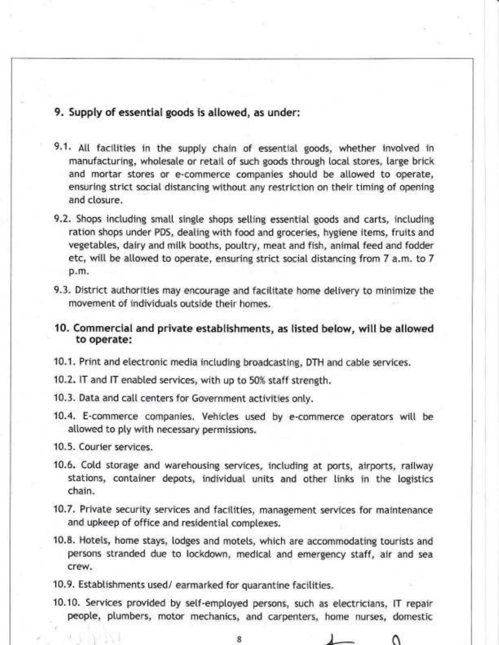## 9. Supply of essential goods is allowed, as under:

- 9.1. All facilities in the supply chain of essential goods, whether involved in manufacturing, wholesale or retail of such goods through local stores, large brick and mortar stores or e-commerce companies shoutd be altowed to operate, ensuring strict social distancing without any restriction on their timing of opening and closure.
- 9.2. Shops inctuding smatl single shops setting essential goods and carts, inctuding ration shops under PDS, deating with food and groceries, hygiene items, fruits and vegetables, dairy and milk booths, poultry, meat and fish, animal feed and fodder etc, will be allowed to operate, ensuring strict social distancing from 7 a.m. to 7 p.m.
- 9.3. District authorities may encourage and facilitate home delivery to minimize the movement of individuals outside their homes.
- 10. Commercial and private establishments, as listed below, witl be allowed to operate:
- 10.1. Print and electronic media inctuding broadcasting, DTH and cable services.
- 10.2. lT and lT enabted services, with up to 50% staff strength.
- 10.3. Data and catl centers for Government activities onty.
- 10.4. E-commerce companies. Vehictes used by e-commerce operators witt be atlowed to ply with necessary permissions.
- 10.5. Courier services.
- 10.6. Cotd storage and warehousing services, inctuding at ports, airports, raitway stations, container depots, individual units and other links in the logistics chain.
- 10.7. Private security services and facitities, management services for maintenance and upkeep of office and residential comptexes.
- 10.8. Hotets, home stays, lodges and motets, which are accommodating tourists and persons stranded due to lockdown, medicat and emergency staff, air and sea crew.
- 10.9. Estabtishments used/ earmarked for quarantine facitities.
- 10.10. Services provided by setf-emptoyed persons, such as etectricians, lT repair peopte, ptumbers, motor mechanics, and carpenters, home nurses, domestic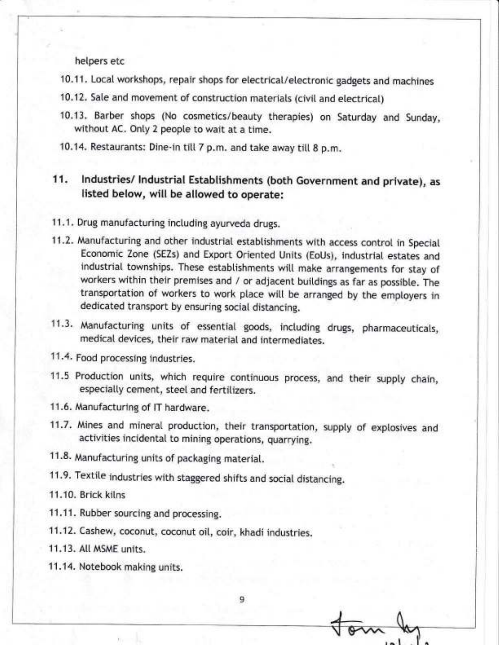helpers etc

- 10.11. Local workshops, repair shops for electrical/electronic gadgets and machines
- 10.12. Sale and movement of construction materials (civil and electrical)
- 10.13. Barber shops (No cosmetics/beauty therapies) on Saturday and Sunday, without AC. Only 2 people to wait at a time.
- 10.14. Restaurants: Dine-in till 7 p.m. and take away till 8 p.m.

#### 11. Industries/ Industrial Establishments (both Government and private), as listed below, will be allowed to operate:

- 11.1. Drug manufacturing including ayurveda drugs.
- 11.2. Manufacturing and other industrial establishments with access control in Special Economic Zone (SEZs) and Export Oriented Units (EoUs), industrial estates and industrial townships. These establishments will make arrangements for stay of workers within their premises and / or adjacent buildings as far as possible. The transportation of workers to work place will be arranged by the employers in dedicated transport by ensuring social distancing.
- 11.3. Manufacturing units of essential goods, including drugs, pharmaceuticals, medical devices, their raw material and intermediates.
- 11.4. Food processing industries.
- 11.5 Production units, which require continuous process, and their supply chain, especially cement, steel and fertilizers.
- 11.6. Manufacturing of IT hardware.
- 11.7. Mines and mineral production, their transportation, supply of explosives and activities incidental to mining operations, quarrying.

9

- 11.8. Manufacturing units of packaging material.
- 11.9. Textile industries with staggered shifts and social distancing.
- 11.10. Brick kilns
- 11.11. Rubber sourcing and processing.
- 11.12. Cashew, coconut, coconut oil, coir, khadi industries.
- 11.13. All MSME units.
- 11.14. Notebook making units.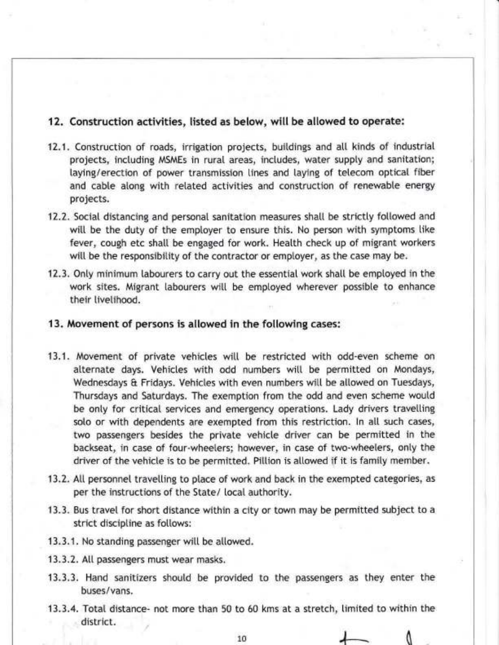#### 12. Construction activities, listed as below, will be allowed to operate:

- 12.1. Construction of roads, irrigation projects, buildings and atl kinds of industrial projects, inctuding MSMEs in rural areas, inctudes, water suppty and sanitation; laying/erection of power transmission lines and laying of tetecom optical fiber and cable along with related activities and construction of renewable energy projects.
- 12.2. Social distancing and personal sanitation measures shall be strictly followed and will be the duty of the employer to ensure this. No person with symptoms like fever, cough etc shatl be engaged for work. Heatth check up of migrant workers will be the responsibility of the contractor or employer, as the case may be.
- 12.3. Onty minimum labourers to carry out the essential work shatt be employed in the work sites. Migrant labourers witt be emptoyed wherever possible to enhance their livelihood.
- 13. Movement of persons is allowed in the following cases:
- 13.1. Movement of private vehicles will be restricted with odd-even scheme on alternate days. Vehicles with odd numbers will be permitted on Mondays, Wednesdays & Fridays. Vehicles with even numbers will be allowed on Tuesdays, Thursdays and Saturdays. The exemption from the odd and even scheme woutd be only for critical services and emergency operations. Lady drivers travelling solo or with dependents are exempted from this restriction. In all such cases, two passengers besides the private vehicle driver can be permitted in the backseat, in case of four-wheeters; however, in case of two-wheeters, onty the driver of the vehicle is to be permitted. Pillion is allowed if it is family member.
- 13.2. All personnel travelling to place of work and back in the exempted categories, as per the instructions of the State/ local authority.
- 13.3. Bus travel for short distance within a city or town may be permitted subject to a strict discipline as follows:
- 13.3.1. No standing passenger witt be atlowed.
- 13.3.2. All passengers must wear masks.
- 13.3.3. Hand sanitizers shoutd be provided to the passengers as they enter the buses/vans.
- 13.3.4. Total distance- not more than 50 to 60 kms at a stretch, timited to within the district.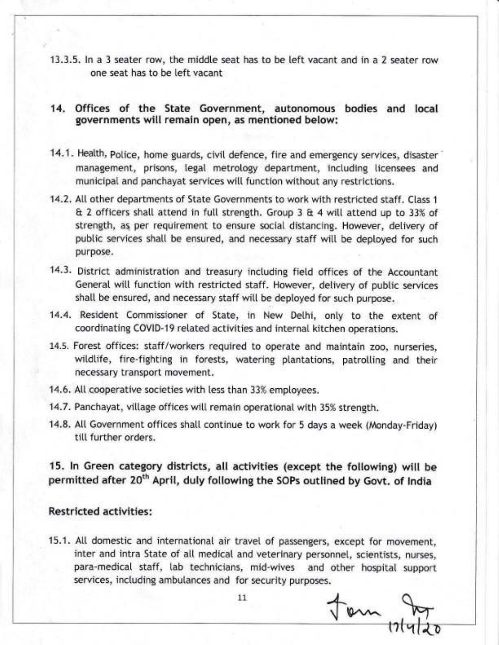13.3.5. In a 3 seater row, the middle seat has to be left vacant and in a 2 seater row one seat has to be teft vacant

#### 14. Offices of the State Government, autonomous bodies and local governments will remain open, as mentioned below:

- 14.1. Health, Police, home guards, civil defence, fire and emergency services, disaster management, prisons, tegat metrotogy department, inctuding Iicensees and municipal and panchayat services will function without any restrictions.
- 14.2. All other departments of State Governments to work with restricted staff. Class 1 & 2 officers shat[ attend in futt strength. Group 3 & 4 wi[[ attend up to 33% of strength, as per requirement to ensure social distancing. However, detivery of public services shall be ensured, and necessary staff will be deployed for such purpose.
- 14.3. District administration and treasury inctuding fietd offices of the Accountant General witl function with restricted staff. However, delivery of pubtic services shall be ensured, and necessary staff will be deployed for such purpose.
- 14.4. Resident Commissioner of State, in New Dethi, only to the extent of coordinating COVID-19 related activities and internal kitchen operations.
- L4.5. Forest offices: staff/workers required to operate and maintain zoo, nurseries, wildlife, fire-fighting in forests, watering plantations, patrolling and their necessary transport movement.
- 14.6. All cooperative societies with less than 33% employees.
- 14.7. Panchayat, village offices will remain operational with 35% strength.
- 14.8. Att Government offices shatl continue to work for 5 days a week (Monday-Friday) till further orders.

15. ln Green category districts, all activities (except the following) wilt be permitted after 20<sup>th</sup> April, duly following the SOPs outlined by Govt. of India

## Restricted activities:

15.1. Att domestic and international air travel of passengers, except for movement, inter and intra State of all medical and veterinary personnel, scientists, nurses, para-medical staff, lab technicians, mid-wives and other hospital support services, including ambutances and for security purposes.

 $11$   $\downarrow$  om  $\downarrow$